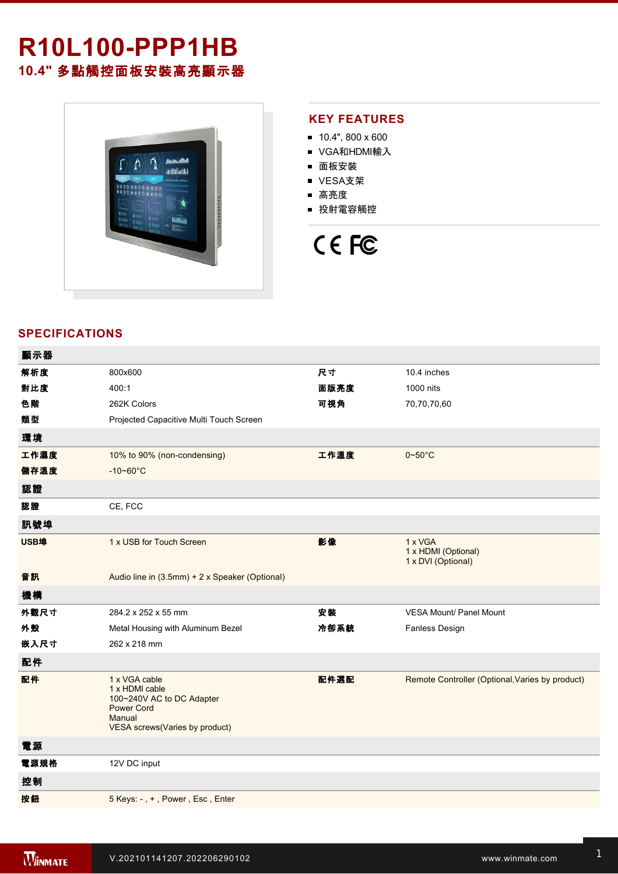# **R10L100-PPP1HB 10.4"** 多點觸控面板安裝高亮顯示器



### **KEY FEATURES**

- $10.4$ ", 800 x 600
- VGA和HDMI輸入
- 面板安裝
- VESA支架
- 高亮度
- 投射電容觸控



## **SPECIFICATIONS**

| 顯示器  |                                                                                                                                      |      |                                                      |
|------|--------------------------------------------------------------------------------------------------------------------------------------|------|------------------------------------------------------|
| 解析度  | 800x600                                                                                                                              | 尺寸   | 10.4 inches                                          |
| 對比度  | 400:1                                                                                                                                | 面版亮度 | 1000 nits                                            |
| 色階   | 262K Colors                                                                                                                          | 可視角  | 70,70,70,60                                          |
| 類型   | Projected Capacitive Multi Touch Screen                                                                                              |      |                                                      |
| 環境   |                                                                                                                                      |      |                                                      |
| 工作濕度 | 10% to 90% (non-condensing)                                                                                                          | 工作溫度 | $0\neg 50^\circ C$                                   |
| 儲存溫度 | $-10 - 60^{\circ}C$                                                                                                                  |      |                                                      |
| 認證   |                                                                                                                                      |      |                                                      |
| 認證   | CE, FCC                                                                                                                              |      |                                                      |
| 訊號埠  |                                                                                                                                      |      |                                                      |
| USB埠 | 1 x USB for Touch Screen                                                                                                             | 影像   | 1 x VGA<br>1 x HDMI (Optional)<br>1 x DVI (Optional) |
| 音訊   | Audio line in (3.5mm) + 2 x Speaker (Optional)                                                                                       |      |                                                      |
| 機構   |                                                                                                                                      |      |                                                      |
| 外觀尺寸 | 284.2 x 252 x 55 mm                                                                                                                  | 安装   | <b>VESA Mount/ Panel Mount</b>                       |
| 外殼   | Metal Housing with Aluminum Bezel                                                                                                    | 冷卻系統 | Fanless Design                                       |
| 嵌入尺寸 | 262 x 218 mm                                                                                                                         |      |                                                      |
| 配件   |                                                                                                                                      |      |                                                      |
| 配件   | 1 x VGA cable<br>1 x HDMI cable<br>100~240V AC to DC Adapter<br><b>Power Cord</b><br>Manual<br><b>VESA screws(Varies by product)</b> | 配件選配 | Remote Controller (Optional, Varies by product)      |
| 電源   |                                                                                                                                      |      |                                                      |
| 電源規格 | 12V DC input                                                                                                                         |      |                                                      |
| 控制   |                                                                                                                                      |      |                                                      |
| 按鈕   | 5 Keys: -, +, Power, Esc, Enter                                                                                                      |      |                                                      |
|      |                                                                                                                                      |      |                                                      |